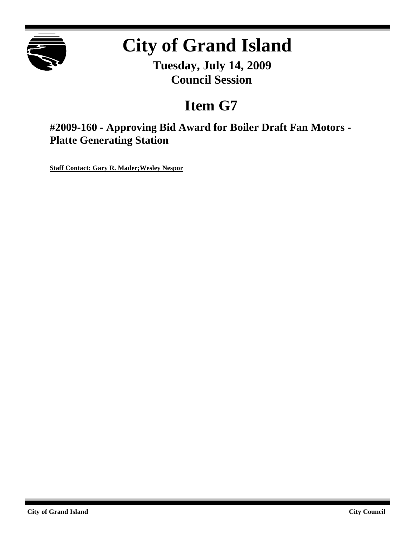

# **City of Grand Island**

**Tuesday, July 14, 2009 Council Session**

## **Item G7**

**#2009-160 - Approving Bid Award for Boiler Draft Fan Motors - Platte Generating Station**

**Staff Contact: Gary R. Mader;Wesley Nespor**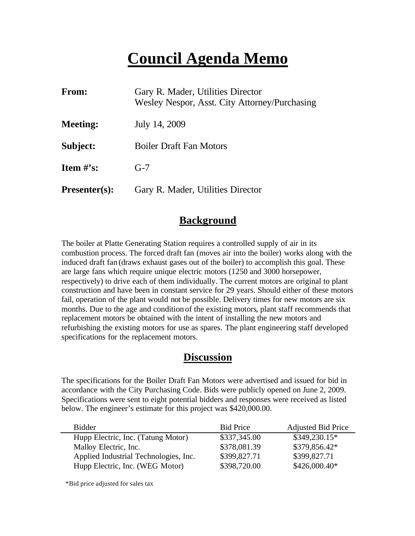## **Council Agenda Memo**

| From:                          | Gary R. Mader, Utilities Director<br>Wesley Nespor, Asst. City Attorney/Purchasing |
|--------------------------------|------------------------------------------------------------------------------------|
| <b>Meeting:</b>                | July 14, 2009                                                                      |
| Subject:                       | <b>Boiler Draft Fan Motors</b>                                                     |
| <b>Item <math>\#</math>'s:</b> | $G-7$                                                                              |
| <b>Presenter(s):</b>           | Gary R. Mader, Utilities Director                                                  |

## **Background**

The boiler at Platte Generating Station requires a controlled supply of air in its combustion process. The forced draft fan (moves air into the boiler) works along with the induced draft fan (draws exhaust gases out of the boiler) to accomplish this goal. These are large fans which require unique electric motors (1250 and 3000 horsepower, respectively) to drive each of them individually. The current motors are original to plant construction and have been in constant service for 29 years. Should either of these motors fail, operation of the plant would not be possible. Delivery times for new motors are six months. Due to the age and condition of the existing motors, plant staff recommends that replacement motors be obtained with the intent of installing the new motors and refurbishing the existing motors for use as spares. The plant engineering staff developed specifications for the replacement motors.

#### **Discussion**

The specifications for the Boiler Draft Fan Motors were advertised and issued for bid in accordance with the City Purchasing Code. Bids were publicly opened on June 2, 2009. Specifications were sent to eight potential bidders and responses were received as listed below. The engineer's estimate for this project was \$420,000.00.

| <b>Bidder</b>                         | <b>Bid Price</b> | <b>Adjusted Bid Price</b> |
|---------------------------------------|------------------|---------------------------|
| Hupp Electric, Inc. (Tatung Motor)    | \$337,345.00     | $$349,230.15*$            |
| Malloy Electric, Inc.                 | \$378,081.39     | \$379,856.42*             |
| Applied Industrial Technologies, Inc. | \$399,827.71     | \$399,827.71              |
| Hupp Electric, Inc. (WEG Motor)       | \$398,720.00     | $$426,000.40*$            |

\*Bid price adjusted for sales tax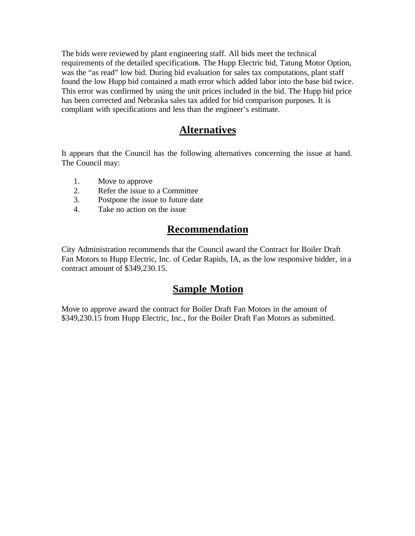The bids were reviewed by plant engineering staff. All bids meet the technical requirements of the detailed specifications. The Hupp Electric bid, Tatung Motor Option, was the "as read" low bid. During bid evaluation for sales tax computations, plant staff found the low Hupp bid contained a math error which added labor into the base bid twice. This error was confirmed by using the unit prices included in the bid. The Hupp bid price has been corrected and Nebraska sales tax added for bid comparison purposes. It is compliant with specifications and less than the engineer's estimate.

### **Alternatives**

It appears that the Council has the following alternatives concerning the issue at hand. The Council may:

- 1. Move to approve
- 2. Refer the issue to a Committee
- 3. Postpone the issue to future date
- 4. Take no action on the issue

### **Recommendation**

City Administration recommends that the Council award the Contract for Boiler Draft Fan Motors to Hupp Electric, Inc. of Cedar Rapids, IA, as the low responsive bidder, in a contract amount of \$349,230.15.

#### **Sample Motion**

Move to approve award the contract for Boiler Draft Fan Motors in the amount of \$349,230.15 from Hupp Electric, Inc., for the Boiler Draft Fan Motors as submitted.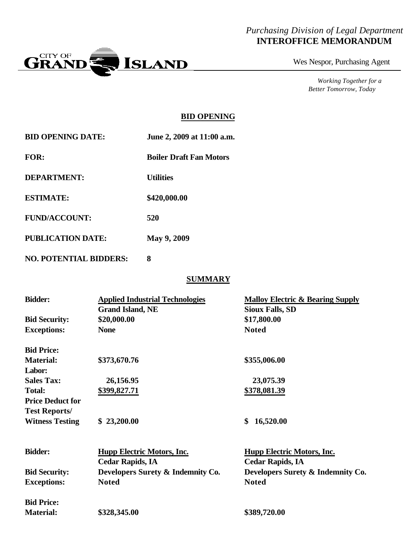#### *Purchasing Division of Legal Department* **INTEROFFICE MEMORANDUM**



Wes Nespor, Purchasing Agent

*Working Together for a Better Tomorrow, Today*

#### **BID OPENING**

| <b>BID OPENING DATE:</b>      | June 2, 2009 at 11:00 a.m.     |  |  |
|-------------------------------|--------------------------------|--|--|
| FOR:                          | <b>Boiler Draft Fan Motors</b> |  |  |
| <b>DEPARTMENT:</b>            | <b>Utilities</b>               |  |  |
| <b>ESTIMATE:</b>              | \$420,000.00                   |  |  |
| <b>FUND/ACCOUNT:</b>          | 520                            |  |  |
| <b>PUBLICATION DATE:</b>      | <b>May 9, 2009</b>             |  |  |
| <b>NO. POTENTIAL BIDDERS:</b> | 8                              |  |  |

#### **SUMMARY**

| <b>Bidder:</b>          | <b>Applied Industrial Technologies</b><br><b>Grand Island, NE</b> | <b>Malloy Electric &amp; Bearing Supply</b><br><b>Sioux Falls, SD</b> |
|-------------------------|-------------------------------------------------------------------|-----------------------------------------------------------------------|
| <b>Bid Security:</b>    | \$20,000.00                                                       | \$17,800.00                                                           |
| <b>Exceptions:</b>      | <b>None</b>                                                       | <b>Noted</b>                                                          |
| <b>Bid Price:</b>       |                                                                   |                                                                       |
| <b>Material:</b>        | \$373,670.76                                                      | \$355,006.00                                                          |
| Labor:                  |                                                                   |                                                                       |
| <b>Sales Tax:</b>       | 26,156.95                                                         | 23,075.39                                                             |
| <b>Total:</b>           | \$399,827.71                                                      | \$378,081.39                                                          |
| <b>Price Deduct for</b> |                                                                   |                                                                       |
| <b>Test Reports/</b>    |                                                                   |                                                                       |
| <b>Witness Testing</b>  | \$23,200.00                                                       | 16,520.00<br>\$                                                       |
| <b>Bidder:</b>          | <b>Hupp Electric Motors, Inc.</b>                                 | <b>Hupp Electric Motors, Inc.</b>                                     |
|                         | <b>Cedar Rapids, IA</b>                                           | <b>Cedar Rapids, IA</b>                                               |
| <b>Bid Security:</b>    | Developers Surety & Indemnity Co.                                 | Developers Surety & Indemnity Co.                                     |
| <b>Exceptions:</b>      | <b>Noted</b>                                                      | <b>Noted</b>                                                          |
| <b>Bid Price:</b>       |                                                                   |                                                                       |
| <b>Material:</b>        | \$328,345.00                                                      | \$389,720.00                                                          |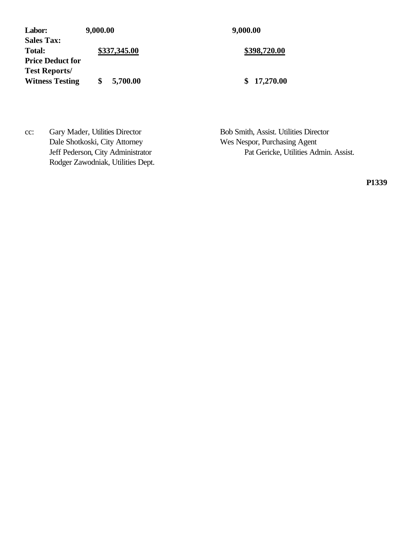Labor: 9,000.00 9,000.00 **Sales Tax:** Total: **\$337,345.00 \$398,720.00 Price Deduct for Test Reports/ Witness Testing \$ 5,700.00 \$ 17,270.00**

cc: Gary Mader, Utilities Director Bob Smith, Assist. Utilities Director Dale Shotkoski, City Attorney Wes Nespor, Purchasing Agent Rodger Zawodniak, Utilities Dept.

Jeff Pederson, City Administrator Pat Gericke, Utilities Admin. Assist.

**P1339**